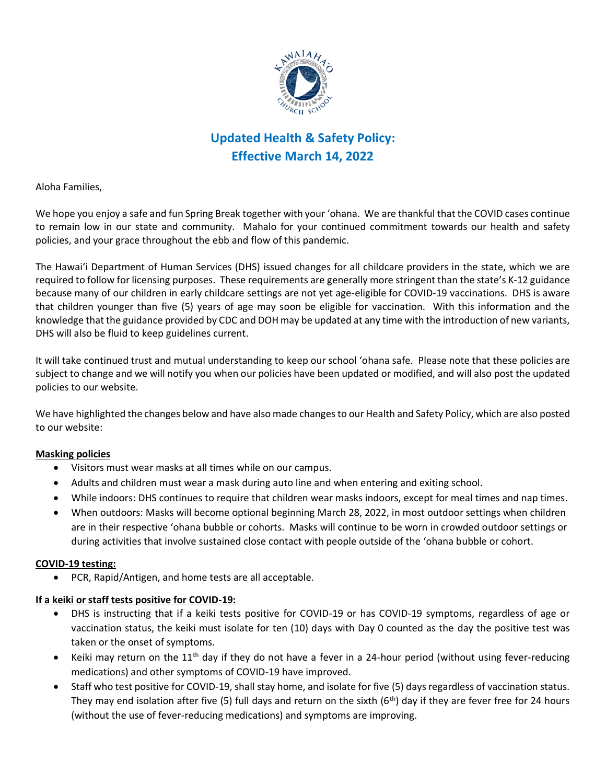

# **Updated Health & Safety Policy: Effective March 14, 2022**

Aloha Families,

We hope you enjoy a safe and fun Spring Break together with your ʻohana. We are thankful that the COVID cases continue to remain low in our state and community. Mahalo for your continued commitment towards our health and safety policies, and your grace throughout the ebb and flow of this pandemic.

The Hawaiʻi Department of Human Services (DHS) issued changes for all childcare providers in the state, which we are required to follow for licensing purposes. These requirements are generally more stringent than the state's K-12 guidance because many of our children in early childcare settings are not yet age-eligible for COVID-19 vaccinations. DHS is aware that children younger than five (5) years of age may soon be eligible for vaccination. With this information and the knowledge that the guidance provided by CDC and DOH may be updated at any time with the introduction of new variants, DHS will also be fluid to keep guidelines current.

It will take continued trust and mutual understanding to keep our school ʻohana safe. Please note that these policies are subject to change and we will notify you when our policies have been updated or modified, and will also post the updated policies to our website.

We have highlighted the changes below and have also made changes to our Health and Safety Policy, which are also posted to our website:

#### **Masking policies**

- Visitors must wear masks at all times while on our campus.
- Adults and children must wear a mask during auto line and when entering and exiting school.
- While indoors: DHS continues to require that children wear masks indoors, except for meal times and nap times.
- When outdoors: Masks will become optional beginning March 28, 2022, in most outdoor settings when children are in their respective ʻohana bubble or cohorts. Masks will continue to be worn in crowded outdoor settings or during activities that involve sustained close contact with people outside of the ʻohana bubble or cohort.

#### **COVID-19 testing:**

• PCR, Rapid/Antigen, and home tests are all acceptable.

#### **If a keiki or staff tests positive for COVID-19:**

- DHS is instructing that if a keiki tests positive for COVID-19 or has COVID-19 symptoms, regardless of age or vaccination status, the keiki must isolate for ten (10) days with Day 0 counted as the day the positive test was taken or the onset of symptoms.
- Keiki may return on the  $11<sup>th</sup>$  day if they do not have a fever in a 24-hour period (without using fever-reducing medications) and other symptoms of COVID-19 have improved.
- Staff who test positive for COVID-19, shall stay home, and isolate for five (5) days regardless of vaccination status. They may end isolation after five (5) full days and return on the sixth ( $6<sup>th</sup>$ ) day if they are fever free for 24 hours (without the use of fever-reducing medications) and symptoms are improving.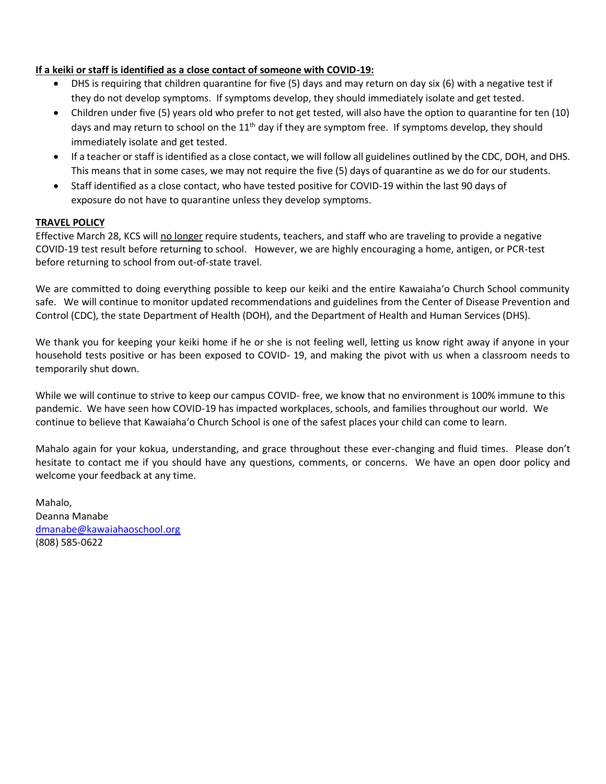## **If a keiki or staff is identified as a close contact of someone with COVID-19:**

- DHS is requiring that children quarantine for five (5) days and may return on day six (6) with a negative test if they do not develop symptoms. If symptoms develop, they should immediately isolate and get tested.
- Children under five (5) years old who prefer to not get tested, will also have the option to quarantine for ten (10) days and may return to school on the  $11<sup>th</sup>$  day if they are symptom free. If symptoms develop, they should immediately isolate and get tested.
- If a teacher or staff is identified as a close contact, we will follow all guidelines outlined by the CDC, DOH, and DHS. This means that in some cases, we may not require the five (5) days of quarantine as we do for our students.
- Staff identified as a close contact, who have tested positive for COVID-19 within the last 90 days of exposure do not have to quarantine unless they develop symptoms.

## **TRAVEL POLICY**

Effective March 28, KCS will no longer require students, teachers, and staff who are traveling to provide a negative COVID-19 test result before returning to school. However, we are highly encouraging a home, antigen, or PCR-test before returning to school from out-of-state travel.

We are committed to doing everything possible to keep our keiki and the entire Kawaiahaʻo Church School community safe. We will continue to monitor updated recommendations and guidelines from the Center of Disease Prevention and Control (CDC), the state Department of Health (DOH), and the Department of Health and Human Services (DHS).

We thank you for keeping your keiki home if he or she is not feeling well, letting us know right away if anyone in your household tests positive or has been exposed to COVID- 19, and making the pivot with us when a classroom needs to temporarily shut down.

While we will continue to strive to keep our campus COVID- free, we know that no environment is 100% immune to this pandemic. We have seen how COVID-19 has impacted workplaces, schools, and families throughout our world. We continue to believe that Kawaiahaʻo Church School is one of the safest places your child can come to learn.

Mahalo again for your kokua, understanding, and grace throughout these ever-changing and fluid times. Please don't hesitate to contact me if you should have any questions, comments, or concerns. We have an open door policy and welcome your feedback at any time.

Mahalo, Deanna Manabe [dmanabe@kawaiahaoschool.org](mailto:dmanabe@kawaiahaoschool.org) (808) 585-0622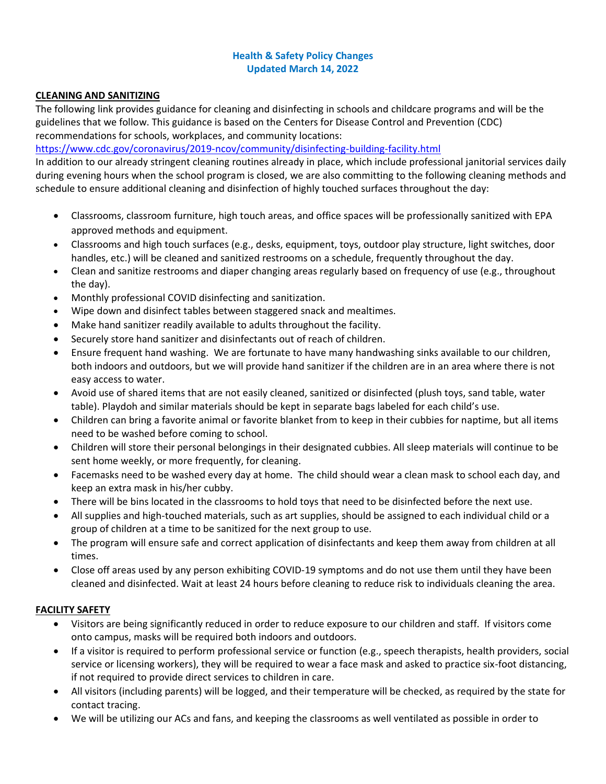## **Health & Safety Policy Changes Updated March 14, 2022**

#### **CLEANING AND SANITIZING**

The following link provides guidance for cleaning and disinfecting in schools and childcare programs and will be the guidelines that we follow. This guidance is based on the Centers for Disease Control and Prevention (CDC) recommendations for schools, workplaces, and community locations:

<https://www.cdc.gov/coronavirus/2019-ncov/community/disinfecting-building-facility.html>

In addition to our already stringent cleaning routines already in place, which include professional janitorial services daily during evening hours when the school program is closed, we are also committing to the following cleaning methods and schedule to ensure additional cleaning and disinfection of highly touched surfaces throughout the day:

- Classrooms, classroom furniture, high touch areas, and office spaces will be professionally sanitized with EPA approved methods and equipment.
- Classrooms and high touch surfaces (e.g., desks, equipment, toys, outdoor play structure, light switches, door handles, etc.) will be cleaned and sanitized restrooms on a schedule, frequently throughout the day.
- Clean and sanitize restrooms and diaper changing areas regularly based on frequency of use (e.g., throughout the day).
- Monthly professional COVID disinfecting and sanitization.
- Wipe down and disinfect tables between staggered snack and mealtimes.
- Make hand sanitizer readily available to adults throughout the facility.
- Securely store hand sanitizer and disinfectants out of reach of children.
- Ensure frequent hand washing. We are fortunate to have many handwashing sinks available to our children, both indoors and outdoors, but we will provide hand sanitizer if the children are in an area where there is not easy access to water.
- Avoid use of shared items that are not easily cleaned, sanitized or disinfected (plush toys, sand table, water table). Playdoh and similar materials should be kept in separate bags labeled for each child's use.
- Children can bring a favorite animal or favorite blanket from to keep in their cubbies for naptime, but all items need to be washed before coming to school.
- Children will store their personal belongings in their designated cubbies. All sleep materials will continue to be sent home weekly, or more frequently, for cleaning.
- Facemasks need to be washed every day at home. The child should wear a clean mask to school each day, and keep an extra mask in his/her cubby.
- There will be bins located in the classrooms to hold toys that need to be disinfected before the next use.
- All supplies and high-touched materials, such as art supplies, should be assigned to each individual child or a group of children at a time to be sanitized for the next group to use.
- The program will ensure safe and correct application of disinfectants and keep them away from children at all times.
- Close off areas used by any person exhibiting COVID-19 symptoms and do not use them until they have been cleaned and disinfected. Wait at least 24 hours before cleaning to reduce risk to individuals cleaning the area.

## **FACILITY SAFETY**

- Visitors are being significantly reduced in order to reduce exposure to our children and staff. If visitors come onto campus, masks will be required both indoors and outdoors.
- If a visitor is required to perform professional service or function (e.g., speech therapists, health providers, social service or licensing workers), they will be required to wear a face mask and asked to practice six-foot distancing, if not required to provide direct services to children in care.
- All visitors (including parents) will be logged, and their temperature will be checked, as required by the state for contact tracing.
- We will be utilizing our ACs and fans, and keeping the classrooms as well ventilated as possible in order to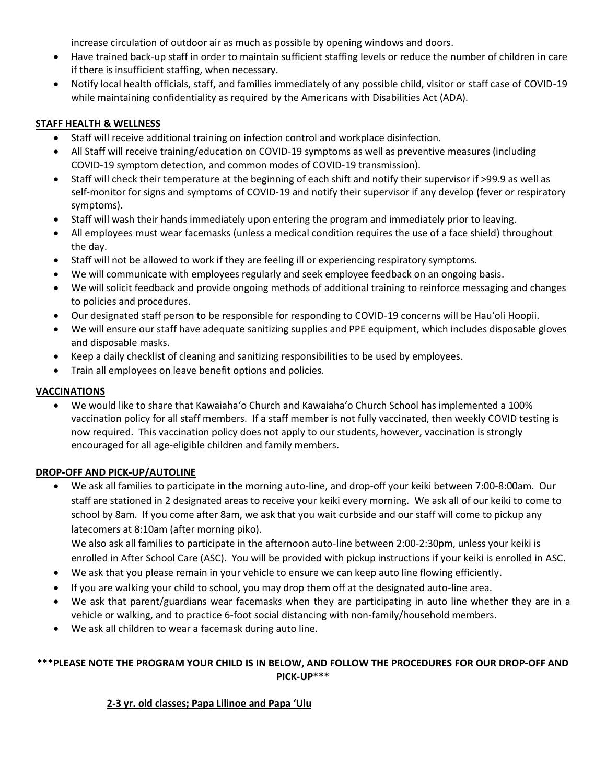increase circulation of outdoor air as much as possible by opening windows and doors.

- Have trained back-up staff in order to maintain sufficient staffing levels or reduce the number of children in care if there is insufficient staffing, when necessary.
- Notify local health officials, staff, and families immediately of any possible child, visitor or staff case of COVID-19 while maintaining confidentiality as required by the Americans with Disabilities Act (ADA).

### **STAFF HEALTH & WELLNESS**

- Staff will receive additional training on infection control and workplace disinfection.
- All Staff will receive training/education on COVID-19 symptoms as well as preventive measures (including COVID-19 symptom detection, and common modes of COVID-19 transmission).
- Staff will check their temperature at the beginning of each shift and notify their supervisor if >99.9 as well as self-monitor for signs and symptoms of COVID-19 and notify their supervisor if any develop (fever or respiratory symptoms).
- Staff will wash their hands immediately upon entering the program and immediately prior to leaving.
- All employees must wear facemasks (unless a medical condition requires the use of a face shield) throughout the day.
- Staff will not be allowed to work if they are feeling ill or experiencing respiratory symptoms.
- We will communicate with employees regularly and seek employee feedback on an ongoing basis.
- We will solicit feedback and provide ongoing methods of additional training to reinforce messaging and changes to policies and procedures.
- Our designated staff person to be responsible for responding to COVID-19 concerns will be Hauʻoli Hoopii.
- We will ensure our staff have adequate sanitizing supplies and PPE equipment, which includes disposable gloves and disposable masks.
- Keep a daily checklist of cleaning and sanitizing responsibilities to be used by employees.
- Train all employees on leave benefit options and policies.

## **VACCINATIONS**

• We would like to share that Kawaiahaʻo Church and Kawaiahaʻo Church School has implemented a 100% vaccination policy for all staff members. If a staff member is not fully vaccinated, then weekly COVID testing is now required. This vaccination policy does not apply to our students, however, vaccination is strongly encouraged for all age-eligible children and family members.

## **DROP-OFF AND PICK-UP/AUTOLINE**

• We ask all families to participate in the morning auto-line, and drop-off your keiki between 7:00-8:00am. Our staff are stationed in 2 designated areas to receive your keiki every morning. We ask all of our keiki to come to school by 8am. If you come after 8am, we ask that you wait curbside and our staff will come to pickup any latecomers at 8:10am (after morning piko).

We also ask all families to participate in the afternoon auto-line between 2:00-2:30pm, unless your keiki is enrolled in After School Care (ASC). You will be provided with pickup instructions if your keiki is enrolled in ASC.

- We ask that you please remain in your vehicle to ensure we can keep auto line flowing efficiently.
- If you are walking your child to school, you may drop them off at the designated auto-line area.
- We ask that parent/guardians wear facemasks when they are participating in auto line whether they are in a vehicle or walking, and to practice 6-foot social distancing with non-family/household members.
- We ask all children to wear a facemask during auto line.

## **\*\*\*PLEASE NOTE THE PROGRAM YOUR CHILD IS IN BELOW, AND FOLLOW THE PROCEDURES FOR OUR DROP-OFF AND PICK-UP\*\*\***

## **2-3 yr. old classes; Papa Lilinoe and Papa ʻUlu**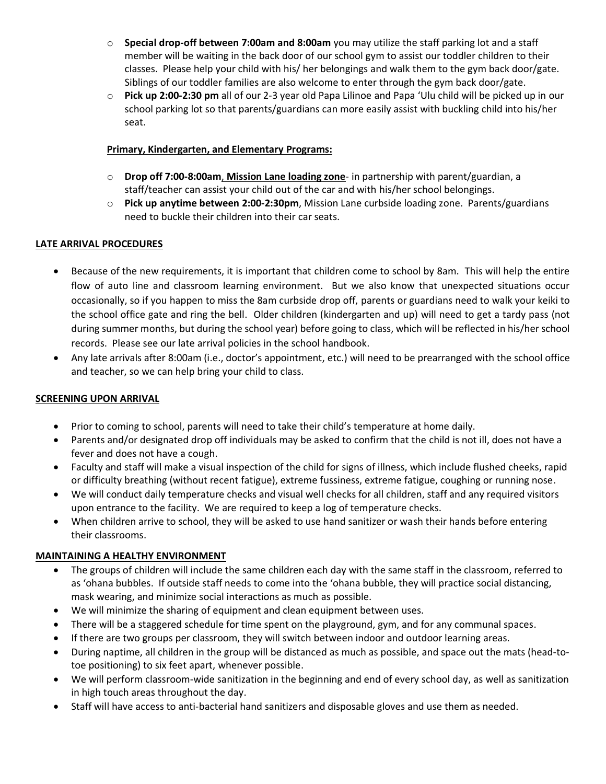- o **Special drop-off between 7:00am and 8:00am** you may utilize the staff parking lot and a staff member will be waiting in the back door of our school gym to assist our toddler children to their classes. Please help your child with his/ her belongings and walk them to the gym back door/gate. Siblings of our toddler families are also welcome to enter through the gym back door/gate.
- o **Pick up 2:00-2:30 pm** all of our 2-3 year old Papa Lilinoe and Papa ʻUlu child will be picked up in our school parking lot so that parents/guardians can more easily assist with buckling child into his/her seat.

## **Primary, Kindergarten, and Elementary Programs:**

- o **Drop off 7:00-8:00am**, **Mission Lane loading zone** in partnership with parent/guardian, a staff/teacher can assist your child out of the car and with his/her school belongings.
- o **Pick up anytime between 2:00-2:30pm**, Mission Lane curbside loading zone. Parents/guardians need to buckle their children into their car seats.

## **LATE ARRIVAL PROCEDURES**

- Because of the new requirements, it is important that children come to school by 8am. This will help the entire flow of auto line and classroom learning environment. But we also know that unexpected situations occur occasionally, so if you happen to miss the 8am curbside drop off, parents or guardians need to walk your keiki to the school office gate and ring the bell. Older children (kindergarten and up) will need to get a tardy pass (not during summer months, but during the school year) before going to class, which will be reflected in his/her school records. Please see our late arrival policies in the school handbook.
- Any late arrivals after 8:00am (i.e., doctor's appointment, etc.) will need to be prearranged with the school office and teacher, so we can help bring your child to class.

### **SCREENING UPON ARRIVAL**

- Prior to coming to school, parents will need to take their child's temperature at home daily.
- Parents and/or designated drop off individuals may be asked to confirm that the child is not ill, does not have a fever and does not have a cough.
- Faculty and staff will make a visual inspection of the child for signs of illness, which include flushed cheeks, rapid or difficulty breathing (without recent fatigue), extreme fussiness, extreme fatigue, coughing or running nose.
- We will conduct daily temperature checks and visual well checks for all children, staff and any required visitors upon entrance to the facility. We are required to keep a log of temperature checks.
- When children arrive to school, they will be asked to use hand sanitizer or wash their hands before entering their classrooms.

#### **MAINTAINING A HEALTHY ENVIRONMENT**

- The groups of children will include the same children each day with the same staff in the classroom, referred to as ʻohana bubbles. If outside staff needs to come into the ʻohana bubble, they will practice social distancing, mask wearing, and minimize social interactions as much as possible.
- We will minimize the sharing of equipment and clean equipment between uses.
- There will be a staggered schedule for time spent on the playground, gym, and for any communal spaces.
- If there are two groups per classroom, they will switch between indoor and outdoor learning areas.
- During naptime, all children in the group will be distanced as much as possible, and space out the mats (head-totoe positioning) to six feet apart, whenever possible.
- We will perform classroom-wide sanitization in the beginning and end of every school day, as well as sanitization in high touch areas throughout the day.
- Staff will have access to anti-bacterial hand sanitizers and disposable gloves and use them as needed.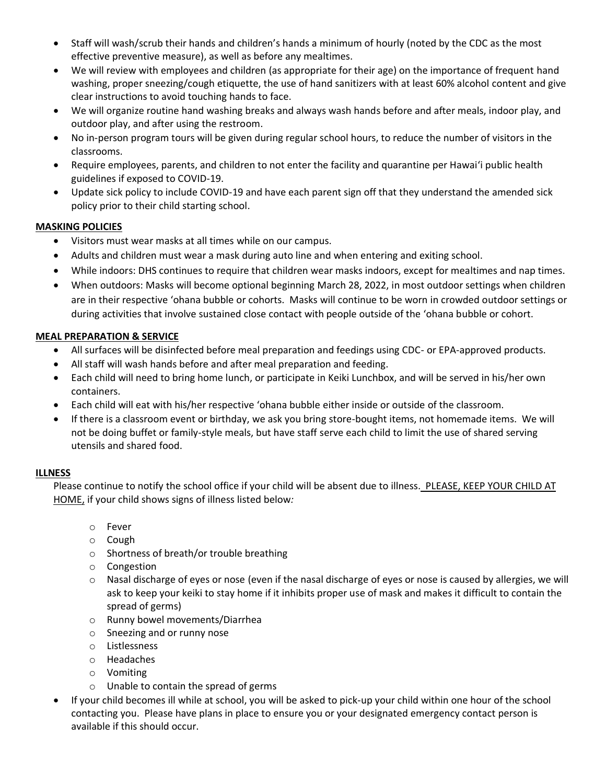- Staff will wash/scrub their hands and children's hands a minimum of hourly (noted by the CDC as the most effective preventive measure), as well as before any mealtimes.
- We will review with employees and children (as appropriate for their age) on the importance of frequent hand washing, proper sneezing/cough etiquette, the use of hand sanitizers with at least 60% alcohol content and give clear instructions to avoid touching hands to face.
- We will organize routine hand washing breaks and always wash hands before and after meals, indoor play, and outdoor play, and after using the restroom.
- No in-person program tours will be given during regular school hours, to reduce the number of visitors in the classrooms.
- Require employees, parents, and children to not enter the facility and quarantine per Hawaiʻi public health guidelines if exposed to COVID-19.
- Update sick policy to include COVID-19 and have each parent sign off that they understand the amended sick policy prior to their child starting school.

## **MASKING POLICIES**

- Visitors must wear masks at all times while on our campus.
- Adults and children must wear a mask during auto line and when entering and exiting school.
- While indoors: DHS continues to require that children wear masks indoors, except for mealtimes and nap times.
- When outdoors: Masks will become optional beginning March 28, 2022, in most outdoor settings when children are in their respective ʻohana bubble or cohorts. Masks will continue to be worn in crowded outdoor settings or during activities that involve sustained close contact with people outside of the ʻohana bubble or cohort.

## **MEAL PREPARATION & SERVICE**

- All surfaces will be disinfected before meal preparation and feedings using CDC- or EPA-approved products.
- All staff will wash hands before and after meal preparation and feeding.
- Each child will need to bring home lunch, or participate in Keiki Lunchbox, and will be served in his/her own containers.
- Each child will eat with his/her respective ʻohana bubble either inside or outside of the classroom.
- If there is a classroom event or birthday, we ask you bring store-bought items, not homemade items. We will not be doing buffet or family-style meals, but have staff serve each child to limit the use of shared serving utensils and shared food.

#### **ILLNESS**

Please continue to notify the school office if your child will be absent due to illness. PLEASE, KEEP YOUR CHILD AT HOME, if your child shows signs of illness listed below*:* 

- o Fever
- o Cough
- o Shortness of breath/or trouble breathing
- o Congestion
- o Nasal discharge of eyes or nose (even if the nasal discharge of eyes or nose is caused by allergies, we will ask to keep your keiki to stay home if it inhibits proper use of mask and makes it difficult to contain the spread of germs)
- o Runny bowel movements/Diarrhea
- o Sneezing and or runny nose
- o Listlessness
- o Headaches
- o Vomiting
- o Unable to contain the spread of germs
- If your child becomes ill while at school, you will be asked to pick-up your child within one hour of the school contacting you. Please have plans in place to ensure you or your designated emergency contact person is available if this should occur.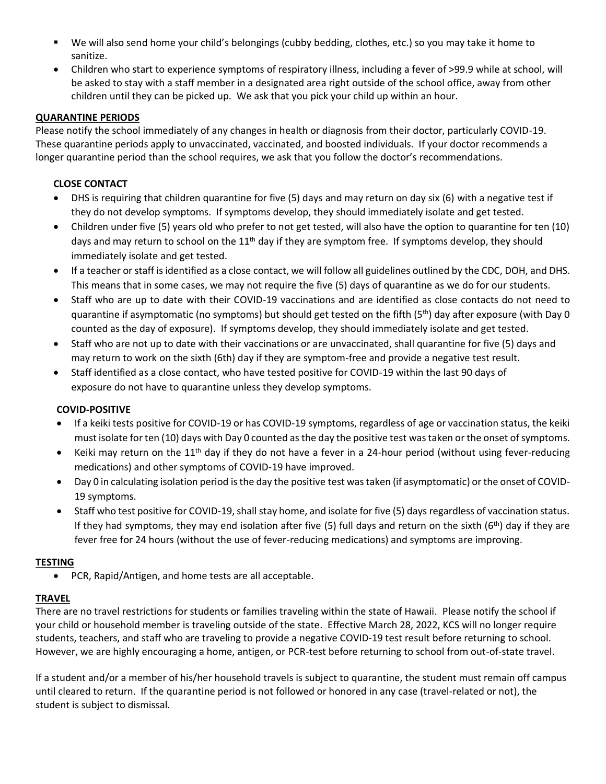- We will also send home your child's belongings (cubby bedding, clothes, etc.) so you may take it home to sanitize.
- Children who start to experience symptoms of respiratory illness, including a fever of >99.9 while at school, will be asked to stay with a staff member in a designated area right outside of the school office, away from other children until they can be picked up. We ask that you pick your child up within an hour.

## **QUARANTINE PERIODS**

Please notify the school immediately of any changes in health or diagnosis from their doctor, particularly COVID-19. These quarantine periods apply to unvaccinated, vaccinated, and boosted individuals. If your doctor recommends a longer quarantine period than the school requires, we ask that you follow the doctor's recommendations.

## **CLOSE CONTACT**

- DHS is requiring that children quarantine for five (5) days and may return on day six (6) with a negative test if they do not develop symptoms. If symptoms develop, they should immediately isolate and get tested.
- Children under five (5) years old who prefer to not get tested, will also have the option to quarantine for ten (10) days and may return to school on the  $11<sup>th</sup>$  day if they are symptom free. If symptoms develop, they should immediately isolate and get tested.
- If a teacher or staff is identified as a close contact, we will follow all guidelines outlined by the CDC, DOH, and DHS. This means that in some cases, we may not require the five (5) days of quarantine as we do for our students.
- Staff who are up to date with their COVID-19 vaccinations and are identified as close contacts do not need to quarantine if asymptomatic (no symptoms) but should get tested on the fifth (5<sup>th</sup>) day after exposure (with Day 0 counted as the day of exposure). If symptoms develop, they should immediately isolate and get tested.
- Staff who are not up to date with their vaccinations or are unvaccinated, shall quarantine for five (5) days and may return to work on the sixth (6th) day if they are symptom-free and provide a negative test result.
- Staff identified as a close contact, who have tested positive for COVID-19 within the last 90 days of exposure do not have to quarantine unless they develop symptoms.

## **COVID-POSITIVE**

- If a keiki tests positive for COVID-19 or has COVID-19 symptoms, regardless of age or vaccination status, the keiki must isolate for ten (10) days with Day 0 counted as the day the positive test was taken or the onset of symptoms.
- Keiki may return on the 11<sup>th</sup> day if they do not have a fever in a 24-hour period (without using fever-reducing medications) and other symptoms of COVID-19 have improved.
- Day 0 in calculating isolation period is the day the positive test was taken (if asymptomatic) or the onset of COVID-19 symptoms.
- Staff who test positive for COVID-19, shall stay home, and isolate for five (5) days regardless of vaccination status. If they had symptoms, they may end isolation after five (5) full days and return on the sixth (6<sup>th</sup>) day if they are fever free for 24 hours (without the use of fever-reducing medications) and symptoms are improving.

#### **TESTING**

• PCR, Rapid/Antigen, and home tests are all acceptable.

## **TRAVEL**

There are no travel restrictions for students or families traveling within the state of Hawaii. Please notify the school if your child or household member is traveling outside of the state. Effective March 28, 2022, KCS will no longer require students, teachers, and staff who are traveling to provide a negative COVID-19 test result before returning to school. However, we are highly encouraging a home, antigen, or PCR-test before returning to school from out-of-state travel.

If a student and/or a member of his/her household travels is subject to quarantine, the student must remain off campus until cleared to return. If the quarantine period is not followed or honored in any case (travel-related or not), the student is subject to dismissal.